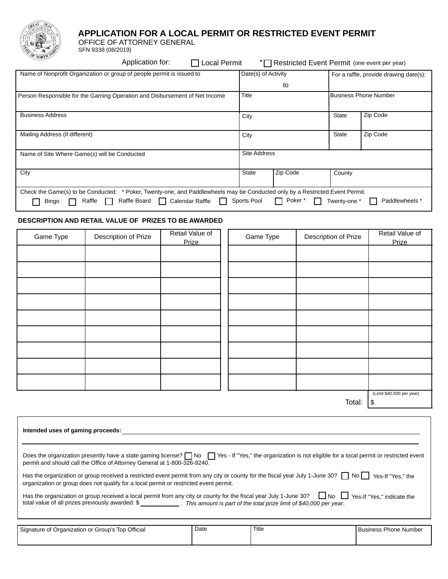

# APPLICATION FOR A LOCAL PERMIT OR RESTRICTED EVENT PERMIT

OFFICE OF ATTORNEY GENERAL

SFN 9338 (08/2019)

|                                                                            | Application for:                                                                          | □ Local Permit      |                                    | * Restricted Event Permit (one event per year) |              |          |
|----------------------------------------------------------------------------|-------------------------------------------------------------------------------------------|---------------------|------------------------------------|------------------------------------------------|--------------|----------|
| Name of Nonprofit Organization or group of people permit is issued to      |                                                                                           | Date(s) of Activity |                                    | For a raffle, provide drawing date(s):         |              |          |
|                                                                            |                                                                                           |                     |                                    | to                                             |              |          |
| Person Responsible for the Gaming Operation and Disbursement of Net Income |                                                                                           | Title               |                                    | <b>Business Phone Number</b>                   |              |          |
| <b>Business Address</b>                                                    |                                                                                           |                     | City                               |                                                | <b>State</b> | Zip Code |
| Mailing Address (if different)                                             |                                                                                           |                     | City                               |                                                | <b>State</b> | Zip Code |
| Name of Site Where Game(s) will be Conducted                               |                                                                                           |                     | <b>Site Address</b>                |                                                |              |          |
| City                                                                       |                                                                                           |                     | Zip Code<br><b>State</b><br>County |                                                |              |          |
| Check the Game(s) to be Conducted:                                         | * Poker, Twenty-one, and Paddlewheels may be Conducted only by a Restricted Event Permit. |                     |                                    |                                                |              |          |

Bingo Raffle Raffle Board Calendar Raffle Sports Pool Poker\* Twenty-one\* Paddlewheels \*

# DESCRIPTION AND RETAIL VALUE OF PRIZES TO BE AWARDED

| Game Type | Description of Prize | Retail Value of<br>Prize | Game Type | Description of Prize | Retail Value of<br>Prize  |
|-----------|----------------------|--------------------------|-----------|----------------------|---------------------------|
|           |                      |                          |           |                      |                           |
|           |                      |                          |           |                      |                           |
|           |                      |                          |           |                      |                           |
|           |                      |                          |           |                      |                           |
|           |                      |                          |           |                      |                           |
|           |                      |                          |           |                      |                           |
|           |                      |                          |           |                      |                           |
|           |                      |                          |           |                      |                           |
|           |                      |                          |           |                      |                           |
|           |                      |                          |           |                      | (Limit \$40,000 per year) |

Total:  $|$ \$

| Intended uses of gaming proceeds:                                                                                                                                                                                                                                                         |      |       |                              |  |  |
|-------------------------------------------------------------------------------------------------------------------------------------------------------------------------------------------------------------------------------------------------------------------------------------------|------|-------|------------------------------|--|--|
|                                                                                                                                                                                                                                                                                           |      |       |                              |  |  |
| Does the organization presently have a state gaming license? $\Box$ No $\Box$ Yes - If "Yes," the organization is not eligible for a local permit or restricted event<br>permit and should call the Office of Attorney General at 1-800-326-9240.                                         |      |       |                              |  |  |
| Has the organization or group received a restricted event permit from any city or county for the fiscal year July 1-June 30? $\Box$ No $\Box$ Yes-If "Yes." the<br>organization or group does not qualify for a local permit or restricted event permit.                                  |      |       |                              |  |  |
| Has the organization or group received a local permit from any city or county for the fiscal year July 1-June 30? No Stes-If "Yes," indicate the<br>total value of all prizes previously awarded: \$ ________________. This amount is part of the total prize limit of \$40,000 per year. |      |       |                              |  |  |
|                                                                                                                                                                                                                                                                                           |      |       |                              |  |  |
| Signature of Organization or Group's Top Official                                                                                                                                                                                                                                         | Date | Title | <b>Business Phone Number</b> |  |  |